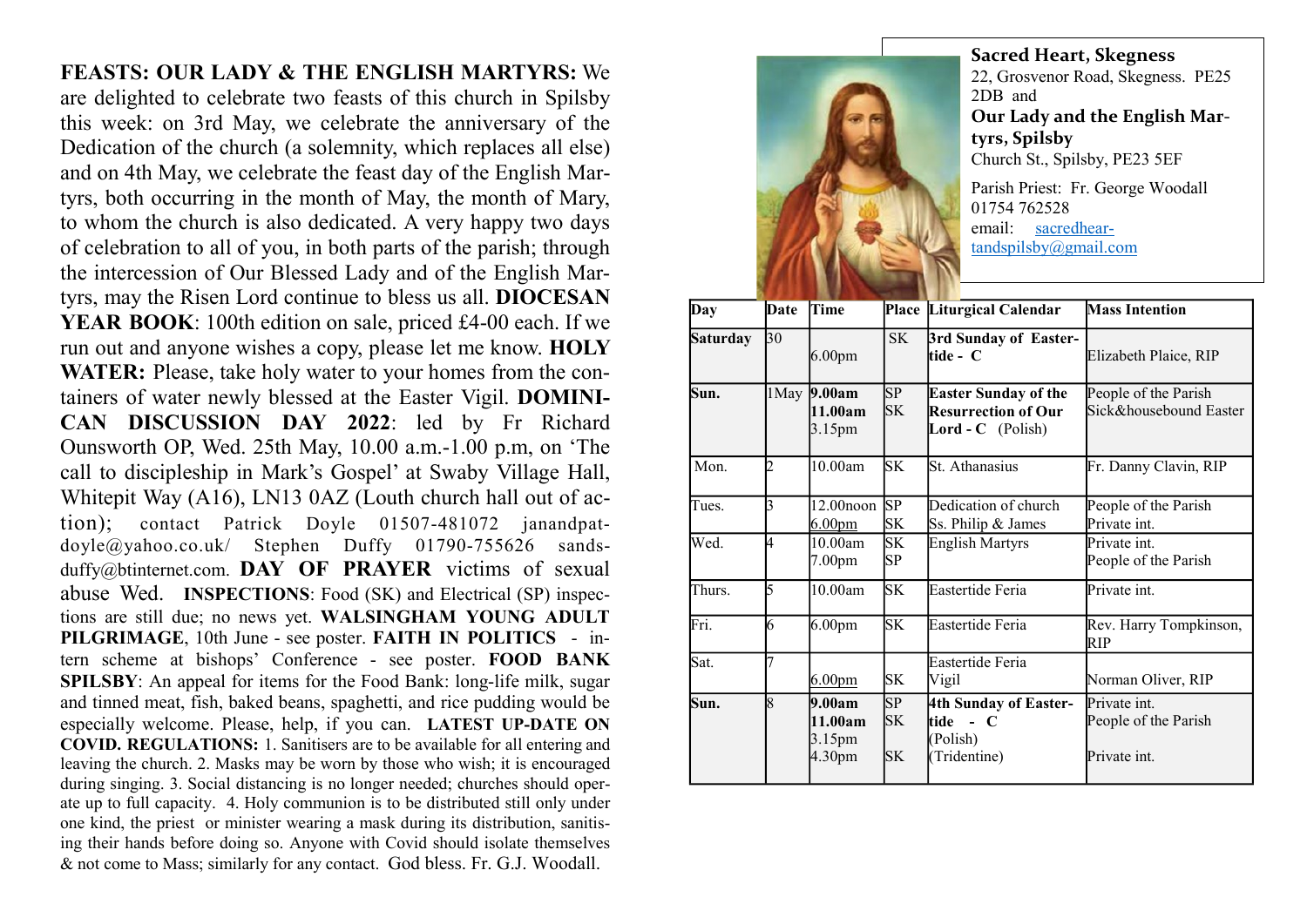FEASTS: OUR LADY & THE ENGLISH MARTYRS: We are delighted to celebrate two feasts of this church in Spilsby this week: on 3rd May, we celebrate the anniversary of the Dedication of the church (a solemnity, which replaces all else) and on 4th May, we celebrate the feast day of the English Martyrs, both occurring in the month of May, the month of Mary, to whom the church is also dedicated. A very happy two days of celebration to all of you, in both parts of the parish; through the intercession of Our Blessed Lady and of the English Martyrs, may the Risen Lord continue to bless us all. DIOCESAN YEAR BOOK: 100th edition on sale, priced £4-00 each. If we run out and anyone wishes a copy, please let me know. HOLY WATER: Please, take holy water to your homes from the containers of water newly blessed at the Easter Vigil. DOMINI-CAN DISCUSSION DAY 2022: led by Fr Richard Ounsworth OP, Wed. 25th May, 10.00 a.m.-1.00 p.m, on 'The call to discipleship in Mark's Gospel' at Swaby Village Hall, Whitepit Way (A16), LN13 0AZ (Louth church hall out of action); contact Patrick Doyle 01507-481072 janandpatdoyle@yahoo.co.uk/ Stephen Duffy 01790-755626 sandsduffy@btinternet.com. DAY OF PRAYER victims of sexual abuse Wed. INSPECTIONS: Food (SK) and Electrical (SP) inspections are still due; no news yet. WALSINGHAM YOUNG ADULT PILGRIMAGE, 10th June - see poster. FAITH IN POLITICS - intern scheme at bishops' Conference - see poster. FOOD BANK SPILSBY: An appeal for items for the Food Bank: long-life milk, sugar and tinned meat, fish, baked beans, spaghetti, and rice pudding would be especially welcome. Please, help, if you can. LATEST UP-DATE ON COVID. REGULATIONS: 1. Sanitisers are to be available for all entering and leaving the church. 2. Masks may be worn by those who wish; it is encouraged during singing. 3. Social distancing is no longer needed; churches should operate up to full capacity. 4. Holy communion is to be distributed still only under one kind, the priest or minister wearing a mask during its distribution, sanitising their hands before doing so. Anyone with Covid should isolate themselves & not come to Mass; similarly for any contact. God bless. Fr. G.J. Woodall.



Sacred Heart, Skegness 22, Grosvenor Road, Skegness. PE25 2DB and Our Lady and the English Martyrs, Spilsby Church St., Spilsby, PE23 5EF Parish Priest: Fr. George Woodall 01754 762528

email: sacredheartandspilsby@gmail.com

| Day             | Date | Time                                       |                        | Place Liturgical Calendar                                                      | <b>Mass Intention</b>                                |
|-----------------|------|--------------------------------------------|------------------------|--------------------------------------------------------------------------------|------------------------------------------------------|
|                 |      |                                            |                        |                                                                                |                                                      |
| <b>Saturday</b> | 30   | 6.00 <sub>pm</sub>                         | SK                     | 3rd Sunday of Easter-<br>ltide - C                                             | Elizabeth Plaice, RIP                                |
| Sun.            |      | 1May 9.00am<br>11.00am<br>$3.15 \text{pm}$ | SP<br>SK               | <b>Easter Sunday of the</b><br>Resurrection of Our<br><b>Lord - C</b> (Polish) | People of the Parish<br>Sick&housebound Easter       |
| Mon.            | 2    | 10.00am                                    | <b>SK</b>              | St. Athanasius                                                                 | Fr. Danny Clavin, RIP                                |
| Tues.           | ß    | $12.00$ noon $SP$<br>6.00 <sub>pm</sub>    | SK                     | Dedication of church<br>Ss. Philip & James                                     | People of the Parish<br>Private int.                 |
| Wed.            | l4   | 10.00am<br>7.00pm                          | <b>SK</b><br><b>SP</b> | <b>English Martyrs</b>                                                         | Private int.<br>People of the Parish                 |
| Thurs.          | 5    | 10.00am                                    | <b>SK</b>              | Eastertide Feria                                                               | Private int.                                         |
| Fri.            | 6    | 6.00 <sub>pm</sub>                         | <b>SK</b>              | Eastertide Feria                                                               | Rev. Harry Tompkinson,<br>RIP                        |
| Sat.            |      | 6.00 <sub>pm</sub>                         | <b>SK</b>              | Eastertide Feria<br>Vigil                                                      | Norman Oliver, RIP                                   |
| Sun.            | 18   | 9.00am<br>11.00am<br>3.15pm<br>4.30pm      | SP<br>SK<br><b>SK</b>  | 4th Sunday of Easter-<br>ltide - C<br>(Polish)<br>(Tridentine)                 | Private int.<br>People of the Parish<br>Private int. |